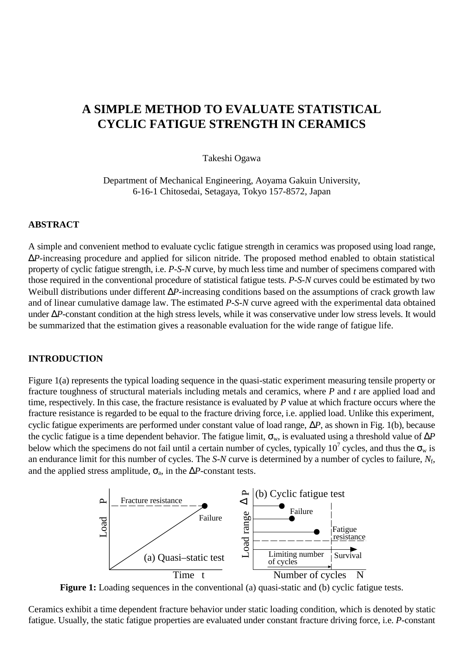# **A SIMPLE METHOD TO EVALUATE STATISTICAL CYCLIC FATIGUE STRENGTH IN CERAMICS**

Takeshi Ogawa

Department of Mechanical Engineering, Aoyama Gakuin University, 6-16-1 Chitosedai, Setagaya, Tokyo 157-8572, Japan

### **ABSTRACT**

A simple and convenient method to evaluate cyclic fatigue strength in ceramics was proposed using load range, ∆*P*-increasing procedure and applied for silicon nitride. The proposed method enabled to obtain statistical property of cyclic fatigue strength, i.e. *P-S-N* curve, by much less time and number of specimens compared with those required in the conventional procedure of statistical fatigue tests. *P-S-N* curves could be estimated by two Weibull distributions under different ∆*P*-increasing conditions based on the assumptions of crack growth law and of linear cumulative damage law. The estimated *P-S-N* curve agreed with the experimental data obtained under ∆*P*-constant condition at the high stress levels, while it was conservative under low stress levels. It would be summarized that the estimation gives a reasonable evaluation for the wide range of fatigue life.

### **INTRODUCTION**

Figure 1(a) represents the typical loading sequence in the quasi-static experiment measuring tensile property or fracture toughness of structural materials including metals and ceramics, where *P* and *t* are applied load and time, respectively. In this case, the fracture resistance is evaluated by *P* value at which fracture occurs where the fracture resistance is regarded to be equal to the fracture driving force, i.e. applied load. Unlike this experiment, cyclic fatigue experiments are performed under constant value of load range, ∆*P*, as shown in Fig. 1(b), because the cyclic fatigue is a time dependent behavior. The fatigue limit,  $\sigma_w$ , is evaluated using a threshold value of  $\Delta P$ below which the specimens do not fail until a certain number of cycles, typically  $10^7$  cycles, and thus the  $\sigma_w$  is an endurance limit for this number of cycles. The *S-N* curve is determined by a number of cycles to failure, *N*f, and the applied stress amplitude,  $\sigma_a$ , in the  $\Delta P$ -constant tests.



**Figure 1:** Loading sequences in the conventional (a) quasi-static and (b) cyclic fatigue tests.

Ceramics exhibit a time dependent fracture behavior under static loading condition, which is denoted by static fatigue. Usually, the static fatigue properties are evaluated under constant fracture driving force, i.e. *P*-constant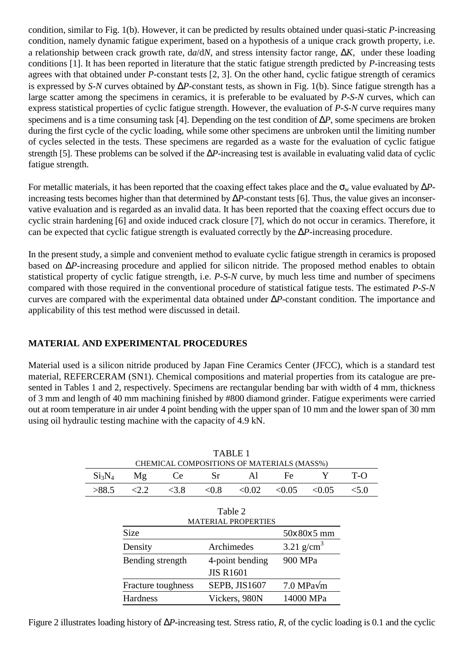condition, similar to Fig. 1(b). However, it can be predicted by results obtained under quasi-static *P*-increasing condition, namely dynamic fatigue experiment, based on a hypothesis of a unique crack growth property, i.e. a relationship between crack growth rate, d*a*/d*N*, and stress intensity factor range, ∆*K*, under these loading conditions [1]. It has been reported in literature that the static fatigue strength predicted by *P*-increasing tests agrees with that obtained under *P*-constant tests [2, 3]. On the other hand, cyclic fatigue strength of ceramics is expressed by *S-N* curves obtained by ∆*P*-constant tests, as shown in Fig. 1(b). Since fatigue strength has a large scatter among the specimens in ceramics, it is preferable to be evaluated by *P-S-N* curves, which can express statistical properties of cyclic fatigue strength. However, the evaluation of *P-S-N* curve requires many specimens and is a time consuming task [4]. Depending on the test condition of ∆*P*, some specimens are broken during the first cycle of the cyclic loading, while some other specimens are unbroken until the limiting number of cycles selected in the tests. These specimens are regarded as a waste for the evaluation of cyclic fatigue strength [5]. These problems can be solved if the ∆*P*-increasing test is available in evaluating valid data of cyclic fatigue strength.

For metallic materials, it has been reported that the coaxing effect takes place and the  $\sigma_w$  value evaluated by  $\Delta P$ increasing tests becomes higher than that determined by ∆*P*-constant tests [6]. Thus, the value gives an inconservative evaluation and is regarded as an invalid data. It has been reported that the coaxing effect occurs due to cyclic strain hardening [6] and oxide induced crack closure [7], which do not occur in ceramics. Therefore, it can be expected that cyclic fatigue strength is evaluated correctly by the ∆*P*-increasing procedure.

In the present study, a simple and convenient method to evaluate cyclic fatigue strength in ceramics is proposed based on ∆*P*-increasing procedure and applied for silicon nitride. The proposed method enables to obtain statistical property of cyclic fatigue strength, i.e. *P-S-N* curve, by much less time and number of specimens compared with those required in the conventional procedure of statistical fatigue tests. The estimated *P-S-N* curves are compared with the experimental data obtained under ∆*P*-constant condition. The importance and applicability of this test method were discussed in detail.

# **MATERIAL AND EXPERIMENTAL PROCEDURES**

Material used is a silicon nitride produced by Japan Fine Ceramics Center (JFCC), which is a standard test material, REFERCERAM (SN1). Chemical compositions and material properties from its catalogue are presented in Tables 1 and 2, respectively. Specimens are rectangular bending bar with width of 4 mm, thickness of 3 mm and length of 40 mm machining finished by #800 diamond grinder. Fatigue experiments were carried out at room temperature in air under 4 point bending with the upper span of 10 mm and the lower span of 30 mm using oil hydraulic testing machine with the capacity of 4.9 kN.

 $TATH$ 

|                                |                                            |      | TABLE I          |                 |               |            |       |
|--------------------------------|--------------------------------------------|------|------------------|-----------------|---------------|------------|-------|
|                                | CHEMICAL COMPOSITIONS OF MATERIALS (MASS%) |      |                  |                 |               |            |       |
| Si <sub>3</sub> N <sub>4</sub> | Mg                                         | Ce   | Sr               | A1              | Fe            | Y          | $T-O$ |
| >88.5                          | $< \!\! 2.2$                               | <3.8 | < 0.8            | < 0.02          | < 0.05        | < 0.05     | < 5.0 |
|                                | Table 2<br><b>MATERIAL PROPERTIES</b>      |      |                  |                 |               |            |       |
|                                | <b>Size</b>                                |      |                  |                 |               | 50x80x5 mm |       |
|                                | Density                                    |      | Archimedes       |                 | 3.21 $g/cm^3$ |            |       |
|                                | Bending strength                           |      |                  | 4-point bending | 900 MPa       |            |       |
|                                |                                            |      | <b>JIS R1601</b> |                 |               |            |       |
|                                | Fracture toughness                         |      |                  | SEPB, JIS1607   | 7.0 MPa√m     |            |       |
|                                | <b>Hardness</b>                            |      |                  | Vickers, 980N   | 14000 MPa     |            |       |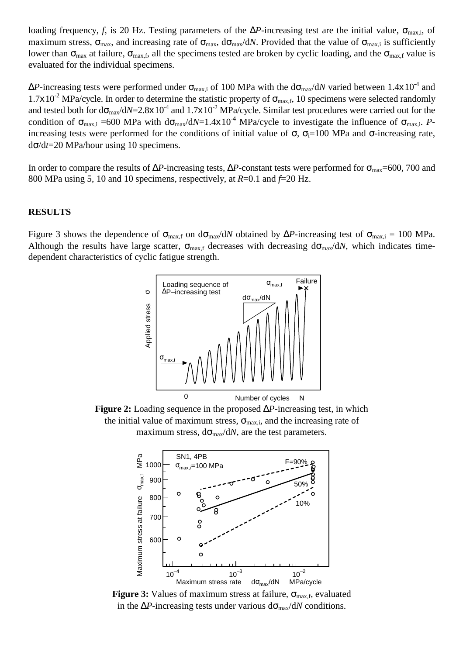loading frequency, *f*, is 20 Hz. Testing parameters of the  $\Delta P$ -increasing test are the initial value,  $\sigma_{\text{max,i}}$ , of maximum stress,  $\sigma_{\text{max}}$ , and increasing rate of  $\sigma_{\text{max}}$ ,  $d\sigma_{\text{max}}/dN$ . Provided that the value of  $\sigma_{\text{max,i}}$  is sufficiently lower than  $\sigma_{\text{max}}$  at failure,  $\sigma_{\text{max,f}}$ , all the specimens tested are broken by cyclic loading, and the  $\sigma_{\text{max,f}}$  value is evaluated for the individual specimens.

 $\Delta P$ -increasing tests were performed under  $\sigma_{\text{max,i}}$  of 100 MPa with the d $\sigma_{\text{max}}$ /dN varied between 1.4x10<sup>-4</sup> and  $1.7x10^{-2}$  MPa/cycle. In order to determine the statistic property of  $\sigma_{\text{max.f}}$ , 10 specimens were selected randomly and tested both for  $d\sigma_{\text{max}}/dN=2.8\times10^{-4}$  and  $1.7\times10^{-2}$  MPa/cycle. Similar test procedures were carried out for the condition of  $\sigma_{\text{max,i}} = 600$  MPa with  $d\sigma_{\text{max}}/dN = 1.4 \times 10^{-4}$  MPa/cycle to investigate the influence of  $\sigma_{\text{max,i}}$ . *P*increasing tests were performed for the conditions of initial value of  $\sigma$ ,  $\sigma$ <sub>i</sub>=100 MPa and  $\sigma$ -increasing rate, dσ/d*t*=20 MPa/hour using 10 specimens.

In order to compare the results of  $\Delta P$ -increasing tests,  $\Delta P$ -constant tests were performed for  $\sigma_{\text{max}}$ =600, 700 and 800 MPa using 5, 10 and 10 specimens, respectively, at *R*=0.1 and *f*=20 Hz.

## **RESULTS**

Figure 3 shows the dependence of  $\sigma_{\text{max,f}}$  on  $d\sigma_{\text{max}}/dN$  obtained by  $\Delta P$ -increasing test of  $\sigma_{\text{max,i}} = 100$  MPa. Although the results have large scatter,  $\sigma_{\text{max,f}}$  decreases with decreasing  $d\sigma_{\text{max}}/dN$ , which indicates timedependent characteristics of cyclic fatigue strength.



**Figure 2:** Loading sequence in the proposed ∆*P*-increasing test, in which the initial value of maximum stress,  $\sigma_{\text{max,i}}$ , and the increasing rate of maximum stress,  $d\sigma_{\text{max}}/dN$ , are the test parameters.



**Figure 3:** Values of maximum stress at failure,  $\sigma_{\text{max.f}}$ , evaluated in the  $\Delta P$ -increasing tests under various d $\sigma_{\text{max}}/dN$  conditions.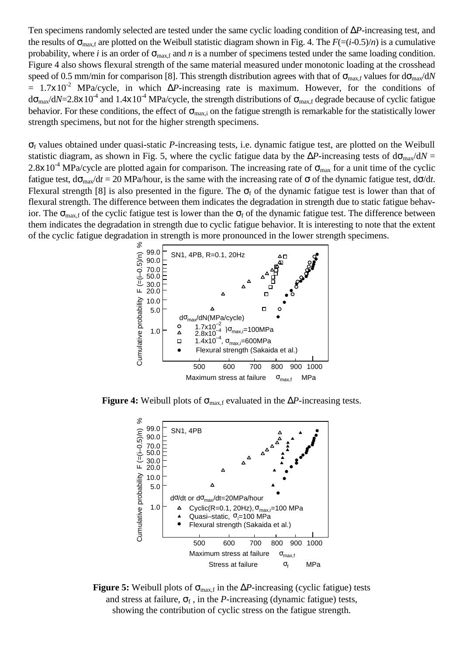Ten specimens randomly selected are tested under the same cyclic loading condition of ∆*P*-increasing test, and the results of  $\sigma_{\text{max,f}}$  are plotted on the Weibull statistic diagram shown in Fig. 4. The  $F=(i-0.5)/n$  is a cumulative probability, where *i* is an order of  $\sigma_{\text{max,f}}$  and *n* is a number of specimens tested under the same loading condition. Figure 4 also shows flexural strength of the same material measured under monotonic loading at the crosshead speed of 0.5 mm/min for comparison [8]. This strength distribution agrees with that of  $\sigma_{\text{max,f}}$  values for  $d\sigma_{\text{max}}/dN$  $= 1.7x10^{-2}$  MPa/cycle, in which  $\Delta P$ -increasing rate is maximum. However, for the conditions of  $d\sigma_{\text{max}}/dN=2.8\times10^{-4}$  and  $1.4\times10^{-4}$  MPa/cycle, the strength distributions of  $\sigma_{\text{max,f}}$  degrade because of cyclic fatigue behavior. For these conditions, the effect of  $\sigma_{\text{max,i}}$  on the fatigue strength is remarkable for the statistically lower strength specimens, but not for the higher strength specimens.

σf values obtained under quasi-static *P*-increasing tests, i.e. dynamic fatigue test, are plotted on the Weibull statistic diagram, as shown in Fig. 5, where the cyclic fatigue data by the  $\Delta P$ -increasing tests of d $\sigma_{\text{max}}$ /d $N =$ 2.8x10<sup>-4</sup> MPa/cycle are plotted again for comparison. The increasing rate of  $\sigma_{\text{max}}$  for a unit time of the cyclic fatigue test,  $d\sigma_{\text{max}}/dt = 20$  MPa/hour, is the same with the increasing rate of  $\sigma$  of the dynamic fatigue test,  $d\sigma/dt$ . Flexural strength [8] is also presented in the figure. The  $\sigma_f$  of the dynamic fatigue test is lower than that of flexural strength. The difference between them indicates the degradation in strength due to static fatigue behavior. The  $\sigma_{\text{max,f}}$  of the cyclic fatigue test is lower than the  $\sigma_f$  of the dynamic fatigue test. The difference between them indicates the degradation in strength due to cyclic fatigue behavior. It is interesting to note that the extent of the cyclic fatigue degradation in strength is more pronounced in the lower strength specimens.



**Figure 4:** Weibull plots of  $\sigma_{\text{max,f}}$  evaluated in the  $\Delta P$ -increasing tests.



**Figure 5:** Weibull plots of  $\sigma_{\text{max,f}}$  in the  $\Delta P$ -increasing (cyclic fatigue) tests and stress at failure,  $\sigma_f$ , in the *P*-increasing (dynamic fatigue) tests, showing the contribution of cyclic stress on the fatigue strength.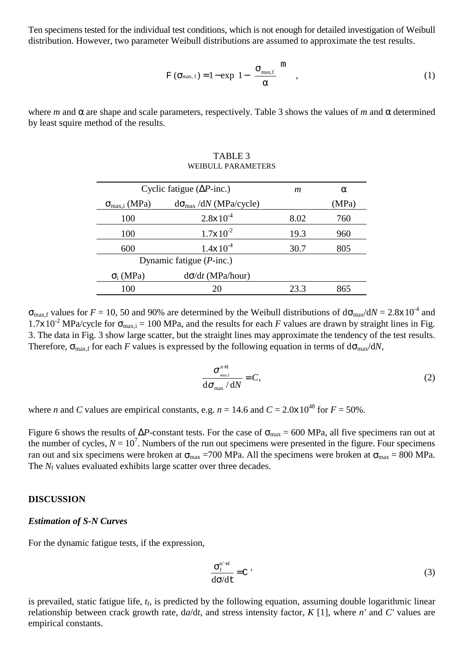Ten specimens tested for the individual test conditions, which is not enough for detailed investigation of Weibull distribution. However, two parameter Weibull distributions are assumed to approximate the test results.

$$
\mathbf{F}\left(\mathbf{\sigma}_{\max,\,f}\right) = 1 - \exp\left\{1 - \left(\frac{\mathbf{\sigma}_{\max,\,f}}{\alpha}\right)^{m}\right\},\tag{1}
$$

where *m* and  $\alpha$  are shape and scale parameters, respectively. Table 3 shows the values of *m* and  $\alpha$  determined by least squire method of the results.

| Cyclic fatigue ( $\Delta P$ -inc.) | m                                      | $\alpha$ |       |  |  |  |  |
|------------------------------------|----------------------------------------|----------|-------|--|--|--|--|
| $\sigma_{\text{max,i}}$ (MPa)      | $d\sigma_{\text{max}}$ /dN (MPa/cycle) |          | (MPa) |  |  |  |  |
| 100                                | $2.8 \times 10^{-4}$                   | 8.02     | 760   |  |  |  |  |
| 100                                | $1.7 \times 10^{-2}$                   | 19.3     | 960   |  |  |  |  |
| 600                                | $1.4 \times 10^{-4}$                   | 30.7     | 805   |  |  |  |  |
| Dynamic fatigue $(P\text{-inc.})$  |                                        |          |       |  |  |  |  |
| $\sigma_i$ (MPa)                   | $d\sigma/dt$ (MPa/hour)                |          |       |  |  |  |  |
| 100                                |                                        | 23.3     | 865   |  |  |  |  |

### TABLE 3 WEIBULL PARAMETERS

 $\sigma_{\text{max.f}}$  values for  $F = 10$ , 50 and 90% are determined by the Weibull distributions of  $d\sigma_{\text{max}}/dN = 2.8 \times 10^{-4}$  and 1.7x10<sup>-2</sup> MPa/cycle for  $\sigma_{\text{max,i}} = 100$  MPa, and the results for each *F* values are drawn by straight lines in Fig. 3. The data in Fig. 3 show large scatter, but the straight lines may approximate the tendency of the test results. Therefore,  $\sigma_{\text{max,f}}$  for each *F* values is expressed by the following equation in terms of  $d\sigma_{\text{max}}/dN$ ,

$$
\frac{\sigma_{\max}^{n+1}}{\mathrm{d}\sigma_{\max}/\mathrm{d}N} = C,\tag{2}
$$

where *n* and *C* values are empirical constants, e.g.  $n = 14.6$  and  $C = 2.0 \times 10^{48}$  for  $F = 50\%$ .

Figure 6 shows the results of  $\Delta P$ -constant tests. For the case of  $\sigma_{\text{max}} = 600$  MPa, all five specimens ran out at the number of cycles,  $N = 10^7$ . Numbers of the run out specimens were presented in the figure. Four specimens ran out and six specimens were broken at  $\sigma_{\text{max}} = 700$  MPa. All the specimens were broken at  $\sigma_{\text{max}} = 800$  MPa. The *N<sub>f</sub>* values evaluated exhibits large scatter over three decades.

# **DISCUSSION**

#### *Estimation of S-N Curves*

For the dynamic fatigue tests, if the expression,

$$
\frac{\sigma_f^{n'+1}}{d\sigma/dt} = C
$$
\n(3)

is prevailed, static fatigue life, *t*f, is predicted by the following equation, assuming double logarithmic linear relationship between crack growth rate, d*a*/d*t*, and stress intensity factor, *K* [1], where *n'* and *C'* values are empirical constants.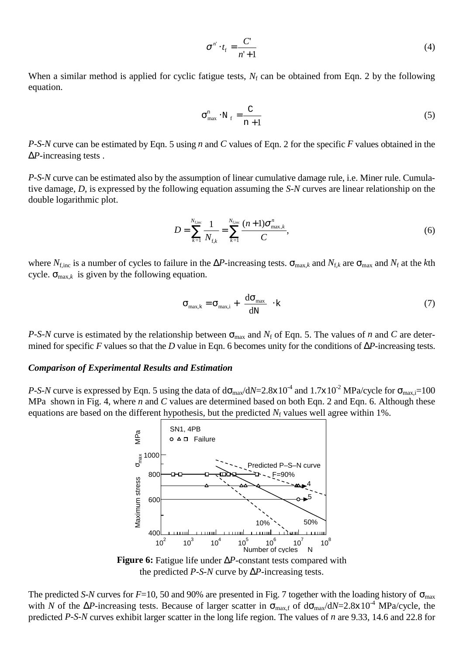$$
\sigma^{n'} \cdot t_{\rm f} = \frac{C}{n'+1} \tag{4}
$$

When a similar method is applied for cyclic fatigue tests,  $N_f$  can be obtained from Eqn. 2 by the following equation.

$$
\sigma_{\text{max}}^{\text{n}} \cdot \text{N}_{\text{f}} = \frac{\text{C}}{\text{n} + 1} \tag{5}
$$

*P-S-N* curve can be estimated by Eqn. 5 using *n* and *C* values of Eqn. 2 for the specific *F* values obtained in the ∆*P*-increasing tests .

*P-S-N* curve can be estimated also by the assumption of linear cumulative damage rule, i.e. Miner rule. Cumulative damage, *D*, is expressed by the following equation assuming the *S-N* curves are linear relationship on the double logarithmic plot.

$$
D = \sum_{k=1}^{N_{\text{fine}}} \frac{1}{N_{\text{f},k}} = \sum_{k=1}^{N_{\text{fine}}} \frac{(n+1)\sigma_{\max,k}^n}{C},
$$
 (6)

where  $N_{\text{fine}}$  is a number of cycles to failure in the  $\Delta P$ -increasing tests.  $\sigma_{\text{max},k}$  and  $N_{\text{f},k}$  are  $\sigma_{\text{max}}$  and  $N_{\text{f}}$  at the *k*th cycle.  $\sigma_{\text{max},k}$  is given by the following equation.

$$
\sigma_{\max,k} = \sigma_{\max,i} + \left(\frac{d\sigma_{\max}}{dN}\right)k
$$
 (7)

*P-S-N* curve is estimated by the relationship between  $\sigma_{\text{max}}$  and  $N_f$  of Eqn. 5. The values of *n* and *C* are determined for specific *F* values so that the *D* value in Eqn. 6 becomes unity for the conditions of ∆*P*-increasing tests.

#### *Comparison of Experimental Results and Estimation*

*P-S-N* curve is expressed by Eqn. 5 using the data of  $d\sigma_{max}/dN=2.8\times10^{-4}$  and  $1.7\times10^{-2}$  MPa/cycle for  $\sigma_{max,i}=100$ MPa shown in Fig. 4, where *n* and *C* values are determined based on both Eqn. 2 and Eqn. 6. Although these equations are based on the different hypothesis, but the predicted  $N_f$  values well agree within 1%.



**Figure 6:** Fatigue life under ∆*P*-constant tests compared with the predicted *P-S-N* curve by ∆*P*-increasing tests.

The predicted *S-N* curves for  $F=10$ , 50 and 90% are presented in Fig. 7 together with the loading history of  $\sigma_{\text{max}}$ with *N* of the  $\Delta P$ -increasing tests. Because of larger scatter in  $\sigma_{\text{max,f}}$  of  $d\sigma_{\text{max}}/dN=2.8\times10^{-4}$  MPa/cycle, the predicted *P-S-N* curves exhibit larger scatter in the long life region. The values of *n* are 9.33, 14.6 and 22.8 for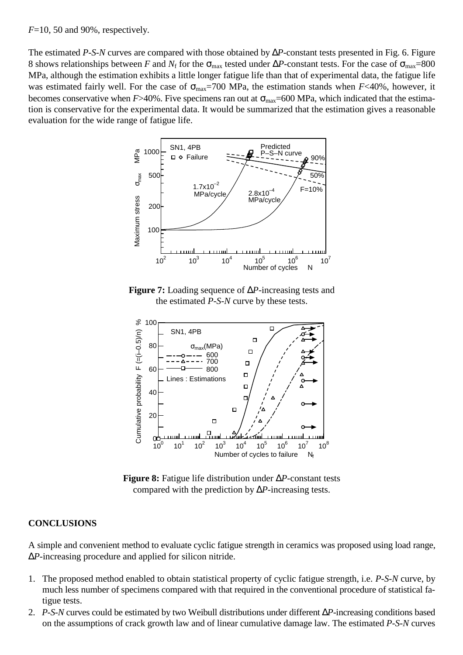*F*=10, 50 and 90%, respectively.

The estimated *P-S-N* curves are compared with those obtained by ∆*P*-constant tests presented in Fig. 6. Figure 8 shows relationships between *F* and  $N_f$  for the  $\sigma_{\text{max}}$  tested under  $\Delta P$ -constant tests. For the case of  $\sigma_{\text{max}}$ =800 MPa, although the estimation exhibits a little longer fatigue life than that of experimental data, the fatigue life was estimated fairly well. For the case of  $\sigma_{\text{max}}$ =700 MPa, the estimation stands when *F*<40%, however, it becomes conservative when  $F > 40\%$ . Five specimens ran out at  $\sigma_{\text{max}} = 600 \text{ MPa}$ , which indicated that the estimation is conservative for the experimental data. It would be summarized that the estimation gives a reasonable evaluation for the wide range of fatigue life.



**Figure 7:** Loading sequence of ∆*P*-increasing tests and the estimated *P-S-N* curve by these tests.



**Figure 8:** Fatigue life distribution under ∆*P*-constant tests compared with the prediction by ∆*P*-increasing tests.

# **CONCLUSIONS**

A simple and convenient method to evaluate cyclic fatigue strength in ceramics was proposed using load range, ∆*P*-increasing procedure and applied for silicon nitride.

- 1. The proposed method enabled to obtain statistical property of cyclic fatigue strength, i.e. *P-S-N* curve, by much less number of specimens compared with that required in the conventional procedure of statistical fatigue tests.
- 2. *P-S-N* curves could be estimated by two Weibull distributions under different ∆*P*-increasing conditions based on the assumptions of crack growth law and of linear cumulative damage law. The estimated *P-S-N* curves